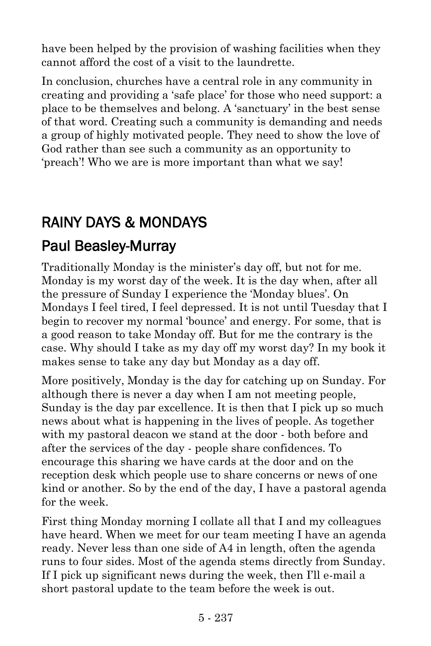have been helped by the provision of washing facilities when they cannot afford the cost of a visit to the laundrette.

In conclusion, churches have a central role in any community in creating and providing a 'safe place' for those who need support: a place to be themselves and belong. A 'sanctuary' in the best sense of that word. Creating such a community is demanding and needs a group of highly motivated people. They need to show the love of God rather than see such a community as an opportunity to 'preach'! Who we are is more important than what we say!

## RAINY DAYS & MONDAYS

## [Paul Beasley-Murray](https://www.ministrytoday.org.uk/magazine/authors/423/)

Traditionally Monday is the minister's day off, but not for me. Monday is my worst day of the week. It is the day when, after all the pressure of Sunday I experience the 'Monday blues'. On Mondays I feel tired, I feel depressed. It is not until Tuesday that I begin to recover my normal 'bounce' and energy. For some, that is a good reason to take Monday off. But for me the contrary is the case. Why should I take as my day off my worst day? In my book it makes sense to take any day but Monday as a day off.

More positively, Monday is the day for catching up on Sunday. For although there is never a day when I am not meeting people, Sunday is the day par excellence. It is then that I pick up so much news about what is happening in the lives of people. As together with my pastoral deacon we stand at the door - both before and after the services of the day - people share confidences. To encourage this sharing we have cards at the door and on the reception desk which people use to share concerns or news of one kind or another. So by the end of the day, I have a pastoral agenda for the week.

First thing Monday morning I collate all that I and my colleagues have heard. When we meet for our team meeting I have an agenda ready. Never less than one side of A4 in length, often the agenda runs to four sides. Most of the agenda stems directly from Sunday. If I pick up significant news during the week, then I'll e-mail a short pastoral update to the team before the week is out.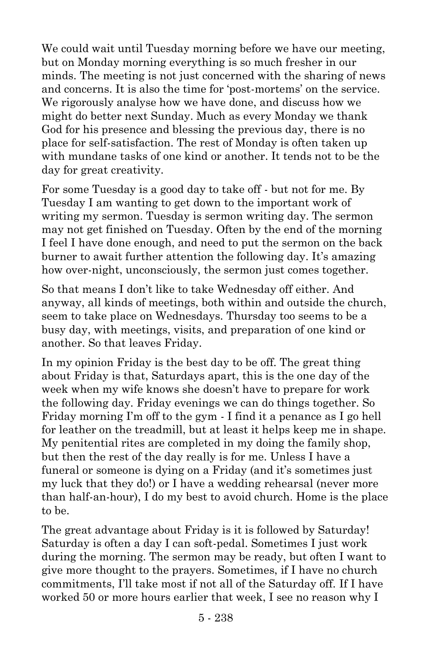We could wait until Tuesday morning before we have our meeting, but on Monday morning everything is so much fresher in our minds. The meeting is not just concerned with the sharing of news and concerns. It is also the time for 'post-mortems' on the service. We rigorously analyse how we have done, and discuss how we might do better next Sunday. Much as every Monday we thank God for his presence and blessing the previous day, there is no place for self-satisfaction. The rest of Monday is often taken up with mundane tasks of one kind or another. It tends not to be the day for great creativity.

For some Tuesday is a good day to take off - but not for me. By Tuesday I am wanting to get down to the important work of writing my sermon. Tuesday is sermon writing day. The sermon may not get finished on Tuesday. Often by the end of the morning I feel I have done enough, and need to put the sermon on the back burner to await further attention the following day. It's amazing how over-night, unconsciously, the sermon just comes together.

So that means I don't like to take Wednesday off either. And anyway, all kinds of meetings, both within and outside the church, seem to take place on Wednesdays. Thursday too seems to be a busy day, with meetings, visits, and preparation of one kind or another. So that leaves Friday.

In my opinion Friday is the best day to be off. The great thing about Friday is that, Saturdays apart, this is the one day of the week when my wife knows she doesn't have to prepare for work the following day. Friday evenings we can do things together. So Friday morning I'm off to the gym - I find it a penance as I go hell for leather on the treadmill, but at least it helps keep me in shape. My penitential rites are completed in my doing the family shop, but then the rest of the day really is for me. Unless I have a funeral or someone is dying on a Friday (and it's sometimes just my luck that they do!) or I have a wedding rehearsal (never more than half-an-hour), I do my best to avoid church. Home is the place to be.

The great advantage about Friday is it is followed by Saturday! Saturday is often a day I can soft-pedal. Sometimes I just work during the morning. The sermon may be ready, but often I want to give more thought to the prayers. Sometimes, if I have no church commitments, I'll take most if not all of the Saturday off. If I have worked 50 or more hours earlier that week, I see no reason why I